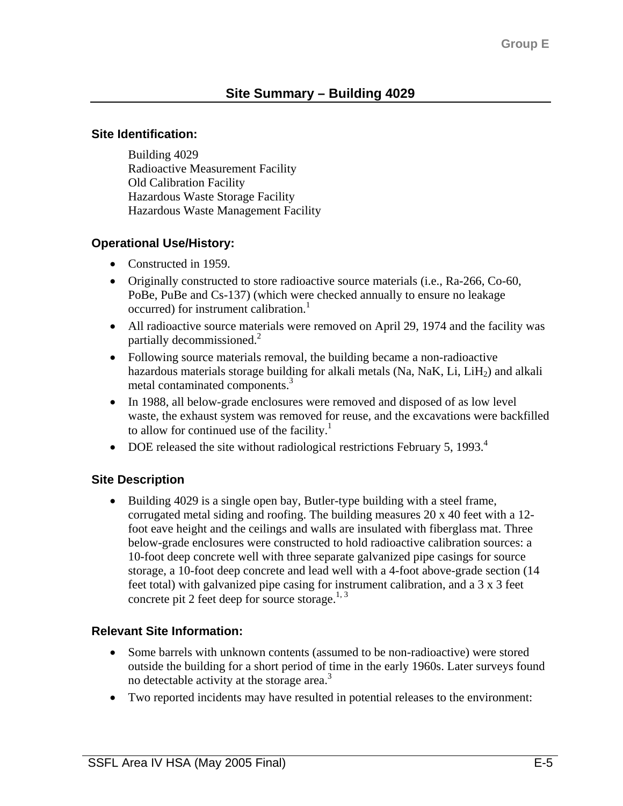#### **Site Identification:**

Building 4029 Radioactive Measurement Facility Old Calibration Facility Hazardous Waste Storage Facility Hazardous Waste Management Facility

### **Operational Use/History:**

- Constructed in 1959.
- Originally constructed to store radioactive source materials (i.e., Ra-266, Co-60, PoBe, PuBe and Cs-137) (which were checked annually to ensure no leakage  $occurred)$  for instrument calibration.<sup>1</sup>
- All radioactive source materials were removed on April 29, 1974 and the facility was partially decommissioned.<sup>2</sup>
- Following source materials removal, the building became a non-radioactive hazardous materials storage building for alkali metals  $(Na, NaK, Li, LiH<sub>2</sub>)$  and alkali metal contaminated components.<sup>3</sup>
- In 1988, all below-grade enclosures were removed and disposed of as low level waste, the exhaust system was removed for reuse, and the excavations were backfilled to allow for continued use of the facility.<sup>1</sup>
- DOE released the site without radiological restrictions February 5, 1993.<sup>4</sup>

### **Site Description**

• Building 4029 is a single open bay, Butler-type building with a steel frame, corrugated metal siding and roofing. The building measures 20 x 40 feet with a 12 foot eave height and the ceilings and walls are insulated with fiberglass mat. Three below-grade enclosures were constructed to hold radioactive calibration sources: a 10-foot deep concrete well with three separate galvanized pipe casings for source storage, a 10-foot deep concrete and lead well with a 4-foot above-grade section (14 feet total) with galvanized pipe casing for instrument calibration, and a 3 x 3 feet concrete pit 2 feet deep for source storage. $1,3$ 

### **Relevant Site Information:**

- Some barrels with unknown contents (assumed to be non-radioactive) were stored outside the building for a short period of time in the early 1960s. Later surveys found no detectable activity at the storage area. $\delta$
- Two reported incidents may have resulted in potential releases to the environment: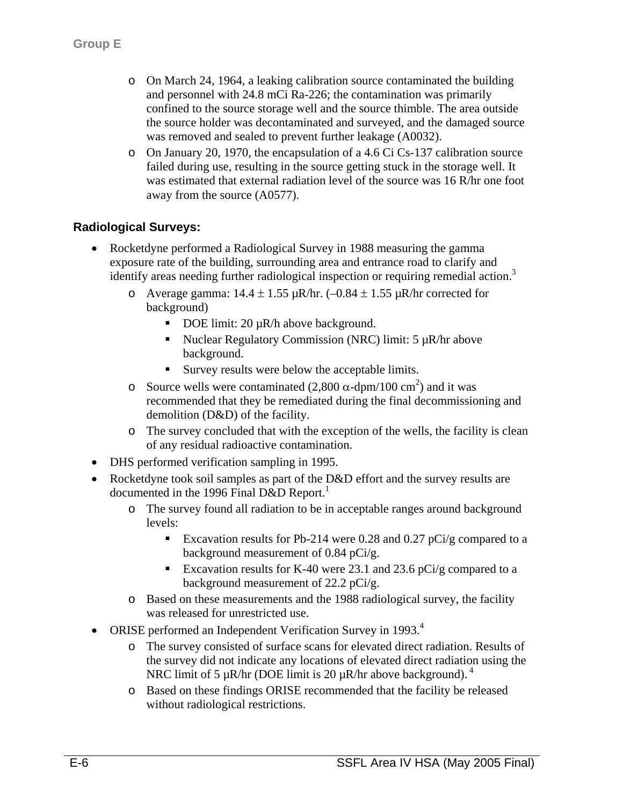- o On March 24, 1964, a leaking calibration source contaminated the building and personnel with 24.8 mCi Ra-226; the contamination was primarily confined to the source storage well and the source thimble. The area outside the source holder was decontaminated and surveyed, and the damaged source was removed and sealed to prevent further leakage (A0032).
- o On January 20, 1970, the encapsulation of a 4.6 Ci Cs-137 calibration source failed during use, resulting in the source getting stuck in the storage well. It was estimated that external radiation level of the source was 16 R/hr one foot away from the source (A0577).

## **Radiological Surveys:**

- Rocketdyne performed a Radiological Survey in 1988 measuring the gamma exposure rate of the building, surrounding area and entrance road to clarify and identify areas needing further radiological inspection or requiring remedial action.<sup>3</sup>
	- o Average gamma:  $14.4 \pm 1.55 \,\mu R/hr$ . (-0.84  $\pm 1.55 \,\mu R/hr$  corrected for background)
		- DOE limit:  $20 \mu R/h$  above background.
		- Nuclear Regulatory Commission (NRC) limit:  $5 \mu R/hr$  above background.
		- Survey results were below the acceptable limits.
	- o Source wells were contaminated  $(2,800 \alpha$ -dpm/100 cm<sup>2</sup>) and it was recommended that they be remediated during the final decommissioning and demolition (D&D) of the facility.
	- o The survey concluded that with the exception of the wells, the facility is clean of any residual radioactive contamination.
- DHS performed verification sampling in 1995.
- Rocketdyne took soil samples as part of the D&D effort and the survey results are documented in the 1996 Final D&D Report.<sup>1</sup>
	- o The survey found all radiation to be in acceptable ranges around background levels:
		- Excavation results for Pb-214 were 0.28 and 0.27 pCi/g compared to a background measurement of 0.84 pCi/g.
		- Excavation results for K-40 were 23.1 and 23.6 pCi/g compared to a background measurement of 22.2 pCi/g.
	- o Based on these measurements and the 1988 radiological survey, the facility was released for unrestricted use.
- ORISE performed an Independent Verification Survey in 1993. $<sup>4</sup>$ </sup>
	- o The survey consisted of surface scans for elevated direct radiation. Results of the survey did not indicate any locations of elevated direct radiation using the NRC limit of 5  $\mu$ R/hr (DOE limit is 20  $\mu$ R/hr above background).<sup>4</sup>
	- o Based on these findings ORISE recommended that the facility be released without radiological restrictions.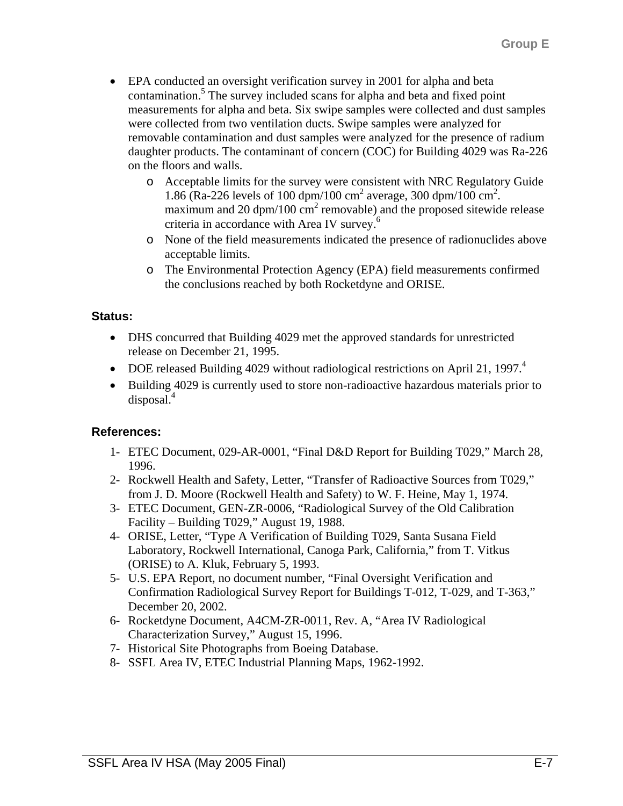- EPA conducted an oversight verification survey in 2001 for alpha and beta contamination.<sup>5</sup> The survey included scans for alpha and beta and fixed point measurements for alpha and beta. Six swipe samples were collected and dust samples were collected from two ventilation ducts. Swipe samples were analyzed for removable contamination and dust samples were analyzed for the presence of radium daughter products. The contaminant of concern (COC) for Building 4029 was Ra-226 on the floors and walls.
	- o Acceptable limits for the survey were consistent with NRC Regulatory Guide 1.86 (Ra-226 levels of 100 dpm/100 cm<sup>2</sup> average, 300 dpm/100 cm<sup>2</sup>. maximum and 20  $\text{dpm}/100 \text{ cm}^2$  removable) and the proposed sitewide release criteria in accordance with Area IV survey.<sup>6</sup>
	- o None of the field measurements indicated the presence of radionuclides above acceptable limits.
	- o The Environmental Protection Agency (EPA) field measurements confirmed the conclusions reached by both Rocketdyne and ORISE.

## **Status:**

- DHS concurred that Building 4029 met the approved standards for unrestricted release on December 21, 1995.
- DOE released Building 4029 without radiological restrictions on April 21, 1997.<sup>4</sup>
- Building 4029 is currently used to store non-radioactive hazardous materials prior to disposal.4

# **References:**

- 1- ETEC Document, 029-AR-0001, "Final D&D Report for Building T029," March 28, 1996.
- 2- Rockwell Health and Safety, Letter, "Transfer of Radioactive Sources from T029," from J. D. Moore (Rockwell Health and Safety) to W. F. Heine, May 1, 1974.
- 3- ETEC Document, GEN-ZR-0006, "Radiological Survey of the Old Calibration Facility – Building T029," August 19, 1988.
- 4- ORISE, Letter, "Type A Verification of Building T029, Santa Susana Field Laboratory, Rockwell International, Canoga Park, California," from T. Vitkus (ORISE) to A. Kluk, February 5, 1993.
- 5- U.S. EPA Report, no document number, "Final Oversight Verification and Confirmation Radiological Survey Report for Buildings T-012, T-029, and T-363," December 20, 2002.
- 6- Rocketdyne Document, A4CM-ZR-0011, Rev. A, "Area IV Radiological Characterization Survey," August 15, 1996.
- 7- Historical Site Photographs from Boeing Database.
- 8- SSFL Area IV, ETEC Industrial Planning Maps, 1962-1992.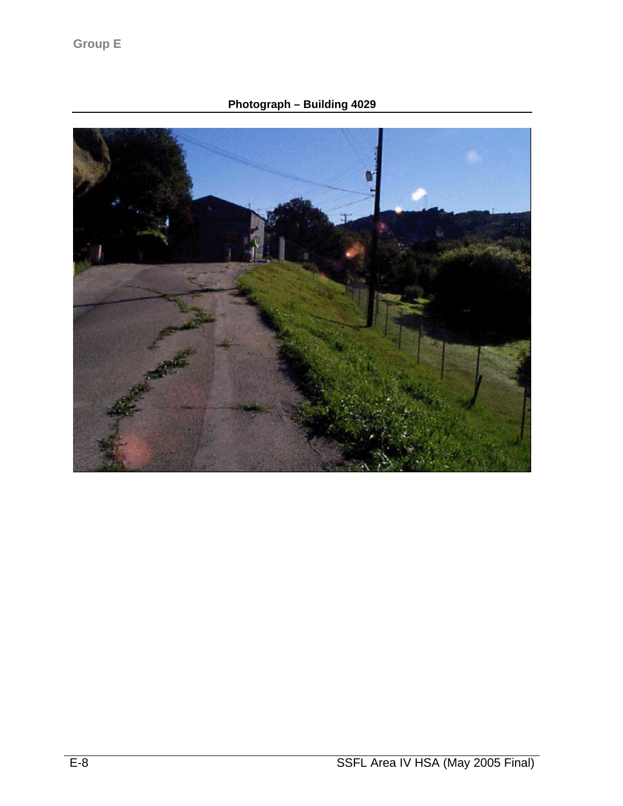**Photograph – Building 4029**